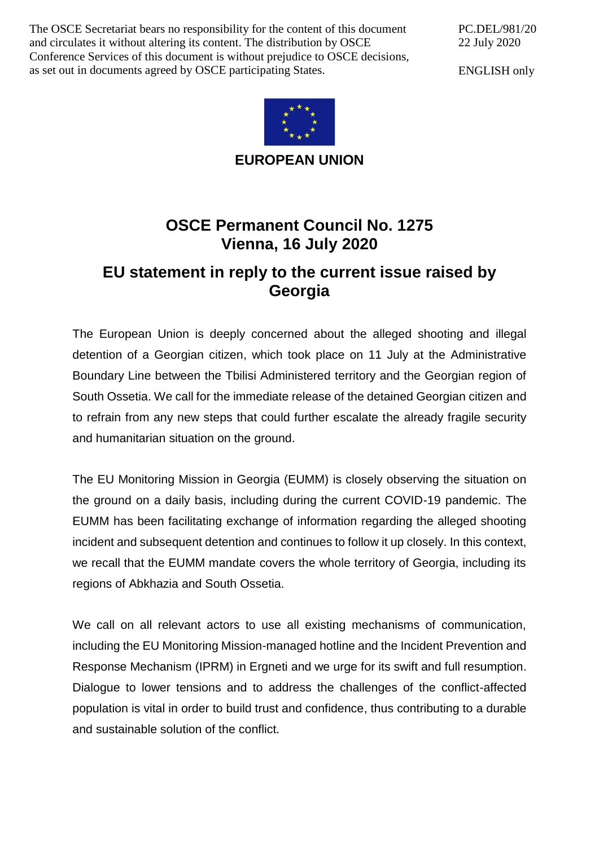The OSCE Secretariat bears no responsibility for the content of this document and circulates it without altering its content. The distribution by OSCE Conference Services of this document is without prejudice to OSCE decisions, as set out in documents agreed by OSCE participating States.

PC.DEL/981/20 22 July 2020

ENGLISH only



**EUROPEAN UNION**

## **OSCE Permanent Council No. 1275 Vienna, 16 July 2020**

## **EU statement in reply to the current issue raised by Georgia**

The European Union is deeply concerned about the alleged shooting and illegal detention of a Georgian citizen, which took place on 11 July at the Administrative Boundary Line between the Tbilisi Administered territory and the Georgian region of South Ossetia. We call for the immediate release of the detained Georgian citizen and to refrain from any new steps that could further escalate the already fragile security and humanitarian situation on the ground.

The EU Monitoring Mission in Georgia (EUMM) is closely observing the situation on the ground on a daily basis, including during the current COVID-19 pandemic. The EUMM has been facilitating exchange of information regarding the alleged shooting incident and subsequent detention and continues to follow it up closely. In this context, we recall that the EUMM mandate covers the whole territory of Georgia, including its regions of Abkhazia and South Ossetia.

We call on all relevant actors to use all existing mechanisms of communication, including the EU Monitoring Mission-managed hotline and the Incident Prevention and Response Mechanism (IPRM) in Ergneti and we urge for its swift and full resumption. Dialogue to lower tensions and to address the challenges of the conflict-affected population is vital in order to build trust and confidence, thus contributing to a durable and sustainable solution of the conflict.